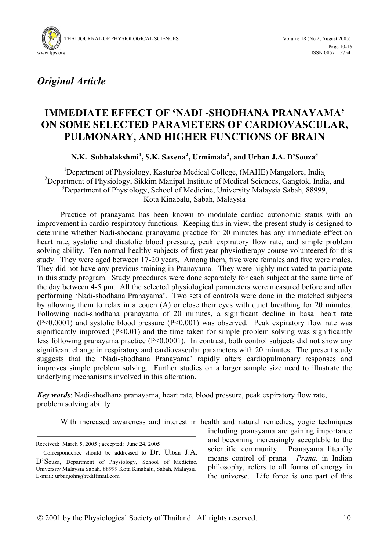



*Original Article* 

# **IMMEDIATE EFFECT OF 'NADI -SHODHANA PRANAYAMA' ON SOME SELECTED PARAMETERS OF CARDIOVASCULAR, PULMONARY, AND HIGHER FUNCTIONS OF BRAIN**

**N.K. Subbalakshmi<sup>1</sup> , S.K. Saxena<sup>2</sup> , Urmimala2 , and Urban J.A. D'Souza<sup>3</sup>**

<sup>1</sup>Department of Physiology, Kasturba Medical College, (MAHE) Mangalore, India<sub>,</sub> <sup>2</sup>Department of Physiology, Sikkim Manipal Institute of Medical Sciences, Gangtok, India, and <sup>3</sup>Department of Physiology, School of Medicine, University Malaysia Sabah, 88999, Kota Kinabalu, Sabah, Malaysia

Practice of pranayama has been known to modulate cardiac autonomic status with an improvement in cardio-respiratory functions. Keeping this in view, the present study is designed to determine whether Nadi-shodana pranayama practice for 20 minutes has any immediate effect on heart rate, systolic and diastolic blood pressure, peak expiratory flow rate, and simple problem solving ability. Ten normal healthy subjects of first year physiotherapy course volunteered for this study. They were aged between 17-20 years. Among them, five were females and five were males. They did not have any previous training in Pranayama. They were highly motivated to participate in this study program. Study procedures were done separately for each subject at the same time of the day between 4-5 pm. All the selected physiological parameters were measured before and after performing 'Nadi-shodhana Pranayama'. Two sets of controls were done in the matched subjects by allowing them to relax in a couch (A) or close their eyes with quiet breathing for 20 minutes. Following nadi-shodhana pranayama of 20 minutes, a significant decline in basal heart rate (P<0.0001) and systolic blood pressure (P<0.001) was observed. Peak expiratory flow rate was significantly improved  $(P<0.01)$  and the time taken for simple problem solving was significantly less following pranayama practice  $(P<0.0001)$ . In contrast, both control subjects did not show any significant change in respiratory and cardiovascular parameters with 20 minutes. The present study suggests that the 'Nadi-shodhana Pranayama' rapidly alters cardiopulmonary responses and improves simple problem solving. Further studies on a larger sample size need to illustrate the underlying mechanisms involved in this alteration.

*Key words*: Nadi-shodhana pranayama, heart rate, blood pressure, peak expiratory flow rate, problem solving ability

With increased awareness and interest in health and natural remedies, yogic techniques

Received: March 5, 2005 ; accepted: June 24, 2005

including pranayama are gaining importance and becoming increasingly acceptable to the scientific community. Pranayama literally means control of prana*. Prana,* in Indian philosophy, refers to all forms of energy in the universe. Life force is one part of this

Correspondence should be addressed to Dr. Urban J.A. D'Souza, Department of Physiology, School of Medicine, University Malaysia Sabah, 88999 Kota Kinabalu, Sabah, Malaysia E-mail: urbanjohn@rediffmail.com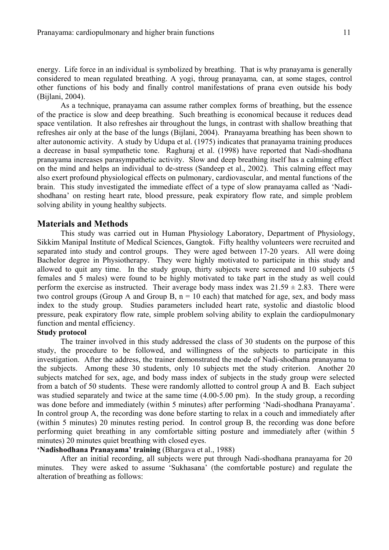energy. Life force in an individual is symbolized by breathing. That is why pranayama is generally considered to mean regulated breathing. A yogi, throug pranayama*,* can, at some stages, control other functions of his body and finally control manifestations of prana even outside his body (Bijlani, 2004).

As a technique, pranayama can assume rather complex forms of breathing, but the essence of the practice is slow and deep breathing. Such breathing is economical because it reduces dead space ventilation. It also refreshes air throughout the lungs, in contrast with shallow breathing that refreshes air only at the base of the lungs (Bijlani, 2004). Pranayama breathing has been shown to alter autonomic activity. A study by Udupa et al. (1975) indicates that pranayama training produces a decrease in basal sympathetic tone. Raghuraj et al. (1998) have reported that Nadi-shodhana pranayama increases parasympathetic activity. Slow and deep breathing itself has a calming effect on the mind and helps an individual to de-stress (Sandeep et al., 2002). This calming effect may also exert profound physiological effects on pulmonary, cardiovascular, and mental functions of the brain. This study investigated the immediate effect of a type of slow pranayama called as 'Nadishodhana' on resting heart rate, blood pressure, peak expiratory flow rate, and simple problem solving ability in young healthy subjects.

#### **Materials and Methods**

This study was carried out in Human Physiology Laboratory, Department of Physiology, Sikkim Manipal Institute of Medical Sciences, Gangtok. Fifty healthy volunteers were recruited and separated into study and control groups. They were aged between 17-20 years. All were doing Bachelor degree in Physiotherapy. They were highly motivated to participate in this study and allowed to quit any time. In the study group, thirty subjects were screened and 10 subjects (5 females and 5 males) were found to be highly motivated to take part in the study as well could perform the exercise as instructed. Their average body mass index was  $21.59 \pm 2.83$ . There were two control groups (Group A and Group B,  $n = 10$  each) that matched for age, sex, and body mass index to the study group. Studies parameters included heart rate, systolic and diastolic blood pressure, peak expiratory flow rate, simple problem solving ability to explain the cardiopulmonary function and mental efficiency.

#### **Study protocol**

The trainer involved in this study addressed the class of 30 students on the purpose of this study, the procedure to be followed, and willingness of the subjects to participate in this investigation. After the address, the trainer demonstrated the mode of Nadi-shodhana pranayama to the subjects. Among these 30 students, only 10 subjects met the study criterion. Another 20 subjects matched for sex, age, and body mass index of subjects in the study group were selected from a batch of 50 students. These were randomly allotted to control group A and B. Each subject was studied separately and twice at the same time (4.00-5.00 pm). In the study group, a recording was done before and immediately (within 5 minutes) after performing 'Nadi-shodhana Pranayama'. In control group A, the recording was done before starting to relax in a couch and immediately after (within 5 minutes) 20 minutes resting period. In control group B, the recording was done before performing quiet breathing in any comfortable sitting posture and immediately after (within 5 minutes) 20 minutes quiet breathing with closed eyes.

#### **'Nadishodhana Pranayama' training** (Bhargava et al., 1988)

After an initial recording, all subjects were put through Nadi-shodhana pranayama for 20 minutes. They were asked to assume 'Sukhasana' (the comfortable posture) and regulate the alteration of breathing as follows: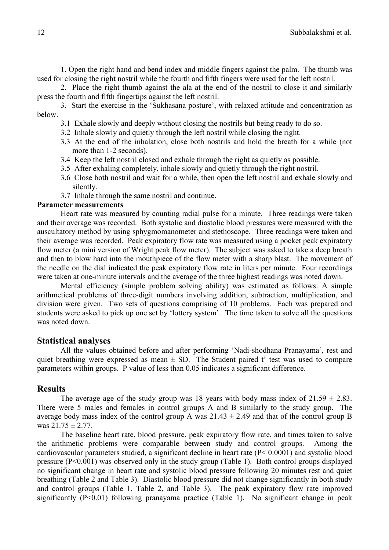1. Open the right hand and bend index and middle fingers against the palm. The thumb was used for closing the right nostril while the fourth and fifth fingers were used for the left nostril.

2. Place the right thumb against the ala at the end of the nostril to close it and similarly press the fourth and fifth fingertips against the left nostril.

3. Start the exercise in the 'Sukhasana posture', with relaxed attitude and concentration as below.

- 3.1 Exhale slowly and deeply without closing the nostrils but being ready to do so.
- 3.2 Inhale slowly and quietly through the left nostril while closing the right.
- 3.3 At the end of the inhalation, close both nostrils and hold the breath for a while (not more than 1-2 seconds).
- 3.4 Keep the left nostril closed and exhale through the right as quietly as possible.
- 3.5 After exhaling completely, inhale slowly and quietly through the right nostril.
- 3.6 Close both nostril and wait for a while, then open the left nostril and exhale slowly and silently.
- 3.7 Inhale through the same nostril and continue.

### **Parameter measurements**

 Heart rate was measured by counting radial pulse for a minute. Three readings were taken and their average was recorded. Both systolic and diastolic blood pressures were measured with the auscultatory method by using sphygmomanometer and stethoscope. Three readings were taken and their average was recorded. Peak expiratory flow rate was measured using a pocket peak expiratory flow meter (a mini version of Wright peak flow meter). The subject was asked to take a deep breath and then to blow hard into the mouthpiece of the flow meter with a sharp blast. The movement of the needle on the dial indicated the peak expiratory flow rate in liters per minute. Four recordings were taken at one-minute intervals and the average of the three highest readings was noted down.

Mental efficiency (simple problem solving ability) was estimated as follows: A simple arithmetical problems of three-digit numbers involving addition, subtraction, multiplication, and division were given. Two sets of questions comprising of 10 problems. Each was prepared and students were asked to pick up one set by 'lottery system'. The time taken to solve all the questions was noted down.

## **Statistical analyses**

All the values obtained before and after performing 'Nadi-shodhana Pranayama', rest and quiet breathing were expressed as mean  $\pm$  SD. The Student paired t' test was used to compare parameters within groups. P value of less than 0.05 indicates a significant difference.

### **Results**

The average age of the study group was 18 years with body mass index of  $21.59 \pm 2.83$ . There were 5 males and females in control groups A and B similarly to the study group. The average body mass index of the control group A was  $21.43 \pm 2.49$  and that of the control group B was  $21.75 \pm 2.77$ .

The baseline heart rate, blood pressure, peak expiratory flow rate, and times taken to solve the arithmetic problems were comparable between study and control groups. Among the cardiovascular parameters studied, a significant decline in heart rate (P< 0.0001) and systolic blood pressure (P<0.001) was observed only in the study group (Table 1). Both control groups displayed no significant change in heart rate and systolic blood pressure following 20 minutes rest and quiet breathing (Table 2 and Table 3). Diastolic blood pressure did not change significantly in both study and control groups (Table 1, Table 2, and Table 3). The peak expiratory flow rate improved significantly  $(P<0.01)$  following pranayama practice (Table 1). No significant change in peak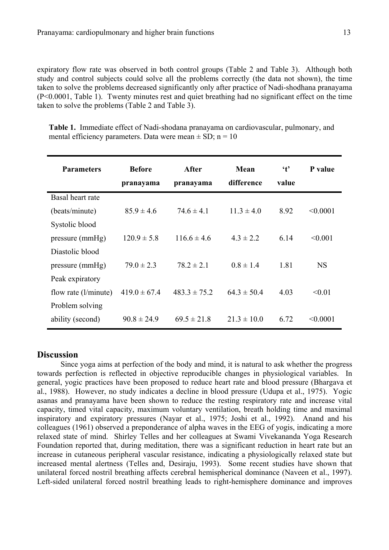expiratory flow rate was observed in both control groups (Table 2 and Table 3). Although both study and control subjects could solve all the problems correctly (the data not shown), the time taken to solve the problems decreased significantly only after practice of Nadi-shodhana pranayama (P<0.0001, Table 1). Twenty minutes rest and quiet breathing had no significant effect on the time taken to solve the problems (Table 2 and Table 3).

**Table 1.** Immediate effect of Nadi-shodana pranayama on cardiovascular, pulmonary, and mental efficiency parameters. Data were mean  $\pm$  SD; n = 10

| <b>Parameters</b>      | <b>Before</b><br>pranayama | After<br>pranayama | Mean<br>difference | $\mathfrak{t}$<br>value | P value   |
|------------------------|----------------------------|--------------------|--------------------|-------------------------|-----------|
| Basal heart rate       |                            |                    |                    |                         |           |
| (beats/minute)         | $85.9 \pm 4.6$             | $74.6 \pm 4.1$     | $11.3 \pm 4.0$     | 8.92                    | < 0.0001  |
| Systolic blood         |                            |                    |                    |                         |           |
| pressure (mmHg)        | $120.9 \pm 5.8$            | $1166 \pm 46$      | $43 \pm 22$        | 6.14                    | < 0.001   |
| Diastolic blood        |                            |                    |                    |                         |           |
| pressure (mmHg)        | $79.0 \pm 2.3$             | $78.2 \pm 2.1$     | $0.8 \pm 1.4$      | 1.81                    | <b>NS</b> |
| Peak expiratory        |                            |                    |                    |                         |           |
| flow rate $(l/minute)$ | $419.0 \pm 67.4$           | $483.3 \pm 75.2$   | $64.3 \pm 50.4$    | 4.03                    | < 0.01    |
| Problem solving        |                            |                    |                    |                         |           |
| ability (second)       | $90.8 \pm 24.9$            | $69.5 \pm 21.8$    | $21.3 \pm 10.0$    | 6.72                    | < 0.0001  |

# **Discussion**

Since yoga aims at perfection of the body and mind, it is natural to ask whether the progress towards perfection is reflected in objective reproducible changes in physiological variables. In general, yogic practices have been proposed to reduce heart rate and blood pressure (Bhargava et al., 1988). However, no study indicates a decline in blood pressure (Udupa et al., 1975). Yogic asanas and pranayama have been shown to reduce the resting respiratory rate and increase vital capacity, timed vital capacity, maximum voluntary ventilation, breath holding time and maximal inspiratory and expiratory pressures (Nayar et al., 1975; Joshi et al., 1992). Anand and his colleagues (1961) observed a preponderance of alpha waves in the EEG of yogis, indicating a more relaxed state of mind. Shirley Telles and her colleagues at Swami Vivekananda Yoga Research Foundation reported that, during meditation, there was a significant reduction in heart rate but an increase in cutaneous peripheral vascular resistance, indicating a physiologically relaxed state but increased mental alertness (Telles and, Desiraju, 1993). Some recent studies have shown that unilateral forced nostril breathing affects cerebral hemispherical dominance (Naveen et al., 1997). Left-sided unilateral forced nostril breathing leads to right-hemisphere dominance and improves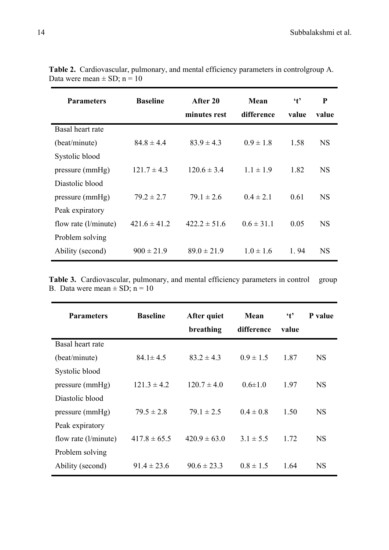| <b>Parameters</b>      | <b>Baseline</b>  | After 20<br>minutes rest | Mean<br>difference | $\mathbf{t}$<br>value | P<br>value |
|------------------------|------------------|--------------------------|--------------------|-----------------------|------------|
| Basal heart rate       |                  |                          |                    |                       |            |
| (beat/minute)          | $84.8 \pm 4.4$   | $83.9 \pm 4.3$           | $0.9 \pm 1.8$      | 1.58                  | <b>NS</b>  |
| Systolic blood         |                  |                          |                    |                       |            |
| pressure (mmHg)        | $121.7 \pm 4.3$  | $120.6 \pm 3.4$          | $1.1 \pm 1.9$      | 1.82                  | <b>NS</b>  |
| Diastolic blood        |                  |                          |                    |                       |            |
| pressure (mmHg)        | $79.2 \pm 2.7$   | $79.1 \pm 2.6$           | $0.4 \pm 2.1$      | 0.61                  | <b>NS</b>  |
| Peak expiratory        |                  |                          |                    |                       |            |
| flow rate $(l/minute)$ | $421.6 \pm 41.2$ | $422.2 \pm 51.6$         | $0.6 \pm 31.1$     | 0.05                  | <b>NS</b>  |
| Problem solving        |                  |                          |                    |                       |            |
| Ability (second)       | $900 \pm 21.9$   | $89.0 \pm 21.9$          | $10 \pm 16$        | 1.94                  | <b>NS</b>  |

**Table 2.** Cardiovascular, pulmonary, and mental efficiency parameters in controlgroup A. Data were mean  $\pm$  SD; n = 10

Table 3. Cardiovascular, pulmonary, and mental efficiency parameters in control group B. Data were mean  $\pm$  SD; n = 10

| <b>Parameters</b>      | <b>Baseline</b>  | After quiet<br>breathing | Mean<br>difference | $\mathfrak{t}$<br>value | P value   |
|------------------------|------------------|--------------------------|--------------------|-------------------------|-----------|
| Basal heart rate       |                  |                          |                    |                         |           |
| (beat/minute)          | $84.1 \pm 4.5$   | $83.2 \pm 4.3$           | $0.9 \pm 1.5$      | 1.87                    | <b>NS</b> |
| Systolic blood         |                  |                          |                    |                         |           |
| pressure (mmHg)        | $121.3 \pm 4.2$  | $120.7 \pm 4.0$          | $0.6 \pm 1.0$      | 1.97                    | <b>NS</b> |
| Diastolic blood        |                  |                          |                    |                         |           |
| pressure (mmHg)        | $79.5 \pm 2.8$   | $79.1 \pm 2.5$           | $0.4 \pm 0.8$      | 1.50                    | <b>NS</b> |
| Peak expiratory        |                  |                          |                    |                         |           |
| flow rate $(l/minute)$ | $417.8 \pm 65.5$ | $420.9 \pm 63.0$         | $3.1 \pm 5.5$      | 1.72                    | <b>NS</b> |
| Problem solving        |                  |                          |                    |                         |           |
| Ability (second)       | $91.4 \pm 23.6$  | $90.6 \pm 23.3$          | $0.8 \pm 1.5$      | 1.64                    | <b>NS</b> |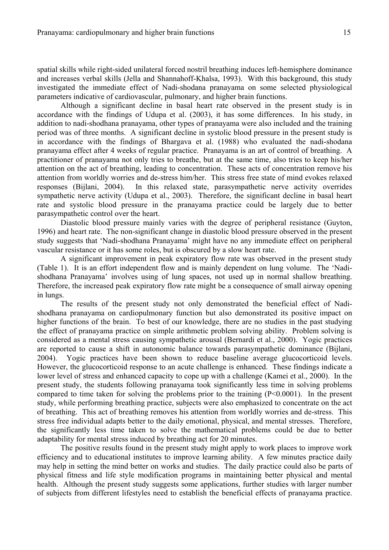spatial skills while right-sided unilateral forced nostril breathing induces left-hemisphere dominance and increases verbal skills (Jella and Shannahoff-Khalsa, 1993). With this background, this study investigated the immediate effect of Nadi-shodana pranayama on some selected physiological parameters indicative of cardiovascular, pulmonary, and higher brain functions.

Although a significant decline in basal heart rate observed in the present study is in accordance with the findings of Udupa et al. (2003), it has some differences. In his study, in addition to nadi-shodhana pranayama, other types of pranayama were also included and the training period was of three months. A significant decline in systolic blood pressure in the present study is in accordance with the findings of Bhargava et al. (1988) who evaluated the nadi-shodana pranayama effect after 4 weeks of regular practice. Pranayama is an art of control of breathing. A practitioner of pranayama not only tries to breathe, but at the same time, also tries to keep his/her attention on the act of breathing, leading to concentration. These acts of concentration remove his attention from worldly worries and de-stress him/her. This stress free state of mind evokes relaxed responses (Bijlani, 2004). In this relaxed state, parasympathetic nerve activity overrides sympathetic nerve activity (Udupa et al., 2003). Therefore, the significant decline in basal heart rate and systolic blood pressure in the pranayama practice could be largely due to better parasympathetic control over the heart.

Diastolic blood pressure mainly varies with the degree of peripheral resistance (Guyton, 1996) and heart rate. The non-significant change in diastolic blood pressure observed in the present study suggests that 'Nadi-shodhana Pranayama' might have no any immediate effect on peripheral vascular resistance or it has some roles, but is obscured by a slow heart rate.

A significant improvement in peak expiratory flow rate was observed in the present study (Table 1). It is an effort independent flow and is mainly dependent on lung volume. The 'Nadishodhana Pranayama' involves using of lung spaces, not used up in normal shallow breathing. Therefore, the increased peak expiratory flow rate might be a consequence of small airway opening in lungs.

The results of the present study not only demonstrated the beneficial effect of Nadishodhana pranayama on cardiopulmonary function but also demonstrated its positive impact on higher functions of the brain. To best of our knowledge, there are no studies in the past studying the effect of pranayama practice on simple arithmetic problem solving ability. Problem solving is considered as a mental stress causing sympathetic arousal (Bernardi et al., 2000). Yogic practices are reported to cause a shift in autonomic balance towards parasympathetic dominance (Bijlani, 2004). Yogic practices have been shown to reduce baseline average glucocorticoid levels. However, the glucocorticoid response to an acute challenge is enhanced. These findings indicate a lower level of stress and enhanced capacity to cope up with a challenge (Kamei et al., 2000). In the present study, the students following pranayama took significantly less time in solving problems compared to time taken for solving the problems prior to the training (P<0.0001). In the present study, while performing breathing practice, subjects were also emphasized to concentrate on the act of breathing. This act of breathing removes his attention from worldly worries and de-stress. This stress free individual adapts better to the daily emotional, physical, and mental stresses. Therefore, the significantly less time taken to solve the mathematical problems could be due to better adaptability for mental stress induced by breathing act for 20 minutes.

The positive results found in the present study might apply to work places to improve work efficiency and to educational institutes to improve learning ability. A few minutes practice daily may help in setting the mind better on works and studies. The daily practice could also be parts of physical fitness and life style modification programs in maintaining better physical and mental health. Although the present study suggests some applications, further studies with larger number of subjects from different lifestyles need to establish the beneficial effects of pranayama practice.